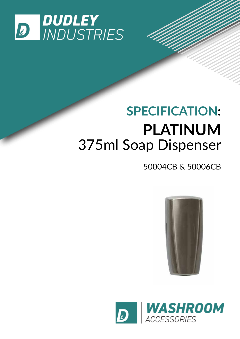

# **SPECIFICATION: PLATINUM** 375ml Soap Dispenser

### 50004CB & 50006CB



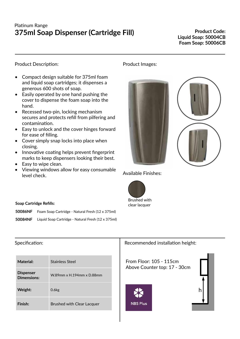#### Platinum Range **375ml Soap Dispenser (Cartridge Fill)**

**Product Code: Liquid Soap: 50004CB Foam Soap: 50006CB**

#### Product Description:

- Compact design suitable for 375ml foam and liquid soap cartridges; it dispenses a generous 600 shots of soap.
- Easily operated by one hand pushing the cover to dispense the foam soap into the hand.
- Recessed two-pin, locking mechanism secures and protects refill from pilfering and contamination.
- Easy to unlock and the cover hinges forward for ease of filling.
- Cover simply snap locks into place when closing.
- Innovative coating helps prevent fingerprint marks to keep dispensers looking their best.
- Easy to wipe clean.
- Viewing windows allow for easy consumable level check.

#### Product Images:





Available Finishes:



#### **Soap Cartridge Refills:**

| 50086NF | Foam Soap Cartridge - Natural Fresh (12 x 375ml)                  |
|---------|-------------------------------------------------------------------|
|         | <b>50084NF</b> Liquid Soap Cartridge - Natural Fresh (12 x 375ml) |

## Specification:

| Material:                       | Stainless Steel                   |
|---------------------------------|-----------------------------------|
| <b>Dispenser</b><br>Dimensions: | W.89mm x H.194mm x D.88mm         |
| Weight:                         | 0.6 <sub>kg</sub>                 |
| Finish:                         | <b>Brushed with Clear Lacquer</b> |

Recommended installation height:

From Floor: 105 - 115cm Above Counter top: 17 - 30cm